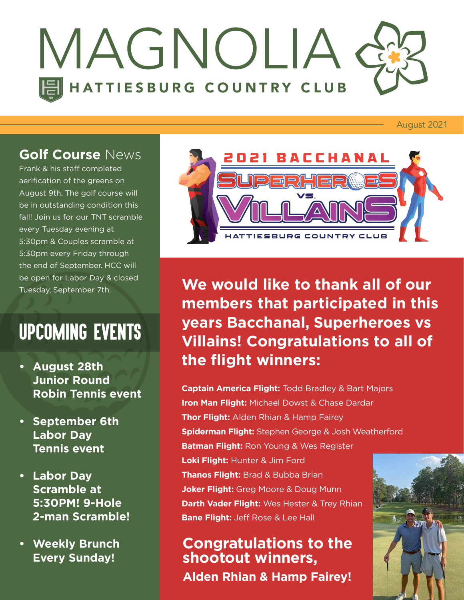

August 2021

### **Golf Course** News

Frank & his staff completed aerification of the greens on August 9th. The golf course will be in outstanding condition this fall! Join us for our TNT scramble every Tuesday evening at 5:30pm & Couples scramble at 5:30pm every Friday through the end of September. HCC will be open for Labor Day & closed Tuesday, September 7th.

### UPCOMING EVENTS

- **• August 28th Junior Round Robin Tennis event**
- **• September 6th Labor Day Tennis event**
- **• Labor Day Scramble at 5:30PM! 9-Hole 2-man Scramble!**
- **• Weekly Brunch Every Sunday!**



**We would like to thank all of our members that participated in this years Bacchanal, Superheroes vs Villains! Congratulations to all of the flight winners:**

**Captain America Flight:** Todd Bradley & Bart Majors **Iron Man Flight:** Michael Dowst & Chase Dardar **Thor Flight:** Alden Rhian & Hamp Fairey **Spiderman Flight:** Stephen George & Josh Weatherford **Batman Flight:** Ron Young & Wes Register **Loki Flight:** Hunter & Jim Ford **Thanos Flight:** Brad & Bubba Brian **Joker Flight:** Greg Moore & Doug Munn **Darth Vader Flight:** Wes Hester & Trey Rhian **Bane Flight:** Jeff Rose & Lee Hall

**Congratulations to the shootout winners, Alden Rhian & Hamp Fairey!**